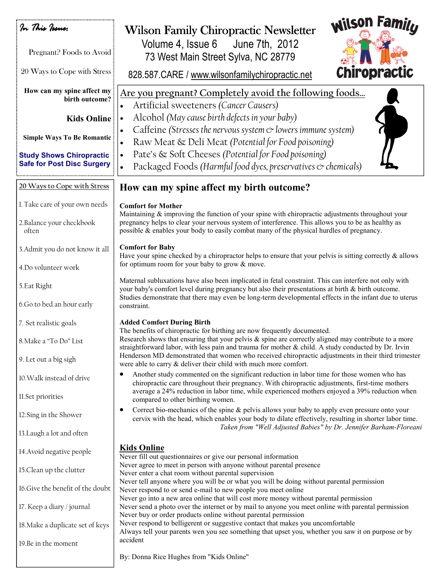| In This Issue:<br>Pregnant? Foods to Avoid                           | <b>Wilson Familu</b><br><b>Wilson Family Chiropractic Newsletter</b><br>Volume 4, Issue 6 June 7th, 2012<br>73 West Main Street Sylva, NC 28779                                                                                                                                                                          |
|----------------------------------------------------------------------|--------------------------------------------------------------------------------------------------------------------------------------------------------------------------------------------------------------------------------------------------------------------------------------------------------------------------|
| 20 Ways to Cope with Stress                                          | Chiropractic<br>828.587.CARE / www.wilsonfamilychiropractic.net                                                                                                                                                                                                                                                          |
| How can my spine affect my<br>birth outcome?                         | Are you pregnant? Completely avoid the following foods<br>Artificial sweeteners (Cancer Causers)                                                                                                                                                                                                                         |
| <b>Kids Online</b>                                                   | Alcohol (May cause birth defects in your baby)<br>$\bullet$                                                                                                                                                                                                                                                              |
| <b>Simple Ways To Be Romantic</b><br><b>Study Shows Chiropractic</b> | Caffeine (Stresses the nervous system $\infty$ lowers immune system)<br>Raw Meat & Deli Meat (Potential for Food poisoning)<br>Pate's & Soft Cheeses (Potential for Food poisoning)                                                                                                                                      |
| <b>Safe for Post Disc Surgery</b>                                    | Packaged Foods (Harmful food dyes, preservatives & chemicals)                                                                                                                                                                                                                                                            |
| 20 Ways to Cope with Stress                                          | How can my spine affect my birth outcome?                                                                                                                                                                                                                                                                                |
| 1. Take care of your own needs                                       | <b>Comfort for Mother</b>                                                                                                                                                                                                                                                                                                |
| 2. Balance your checkbook<br>often                                   | Maintaining $\&$ improving the function of your spine with chiropractic adjustments throughout your<br>pregnancy helps to clear your nervous system of interference. This allows you to be as healthy as<br>possible & enables your body to easily combat many of the physical hurdles of pregnancy.                     |
| 3. Admit you do not know it all                                      | <b>Comfort for Baby</b><br>Have your spine checked by a chiropractor helps to ensure that your pelvis is sitting correctly $\&$ allows                                                                                                                                                                                   |
| 4.Do volunteer work                                                  | for optimum room for your baby to grow & move.                                                                                                                                                                                                                                                                           |
| 5. Eat Right                                                         | Maternal subluxations have also been implicated in fetal constraint. This can interfere not only with<br>your baby's comfort level during pregnancy but also their presentations at birth & birth outcome.<br>Studies demonstrate that there may even be long-term developmental effects in the infant due to uterus     |
| 6.Go to bed an hour early                                            | constraint.                                                                                                                                                                                                                                                                                                              |
| 7. Set realistic goals                                               | <b>Added Comfort During Birth</b><br>The benefits of chiropractic for birthing are now frequently documented.                                                                                                                                                                                                            |
| 8. Make a "To Do" List                                               | Research shows that ensuring that your pelvis $\&$ spine are correctly aligned may contribute to a more<br>straightforward labor, with less pain and trauma for mother $\&$ child. A study conducted by Dr. Irvin<br>Henderson MD demonstrated that women who received chiropractic adjustments in their third trimester |
| 9. Let out a big sigh                                                | were able to carry & deliver their child with much more comfort.                                                                                                                                                                                                                                                         |
| 10. Walk instead of drive                                            | Another study commented on the significant reduction in labor time for those women who has<br>chiropractic care throughout their pregnancy. With chiropractic adjustments, first-time mothers<br>average a 24% reduction in labor time, while experienced mothers enjoyed a 39% reduction when                           |
| 11.Set priorities                                                    | compared to other birthing women.<br>Correct bio-mechanics of the spine $\&$ pelvis allows your baby to apply even pressure onto your<br>$\bullet$                                                                                                                                                                       |
| 12. Sing in the Shower                                               | cervix with the head, which enables your body to dilate effectively, resulting in shorter labor time.<br>Taken from "Well Adjusted Babies" by Dr. Jennifer Barham-Floreani                                                                                                                                               |
| 13. Laugh a lot and often                                            |                                                                                                                                                                                                                                                                                                                          |
| 14. Avoid negative people                                            | <b>Kids Online</b><br>Never fill out questionnaires or give our personal information                                                                                                                                                                                                                                     |
| 15.Clean up the clutter                                              | Never agree to meet in person with anyone without parental presence<br>Never enter a chat room without parental supervision                                                                                                                                                                                              |
| 16. Give the benefit of the doubt                                    | Never tell anyone where you will be or what you will be doing without parental permission<br>Never respond to or send e-mail to new people you meet online                                                                                                                                                               |
| 17. Keep a diary / journal                                           | Never go into a new area online that will cost more money without parental permission<br>Never send a photo over the internet or by mail to anyone you meet online with parental permission<br>Never buy or order products online without parental permission                                                            |
| 18. Make a duplicate set of keys                                     | Never respond to belligerent or suggestive contact that makes you uncomfortable<br>Always tell your parents wen you see something that upset you, whether you saw it on purpose or by                                                                                                                                    |
| 19.Be in the moment                                                  | accident                                                                                                                                                                                                                                                                                                                 |
|                                                                      | By: Donna Rice Hughes from "Kids Online"                                                                                                                                                                                                                                                                                 |